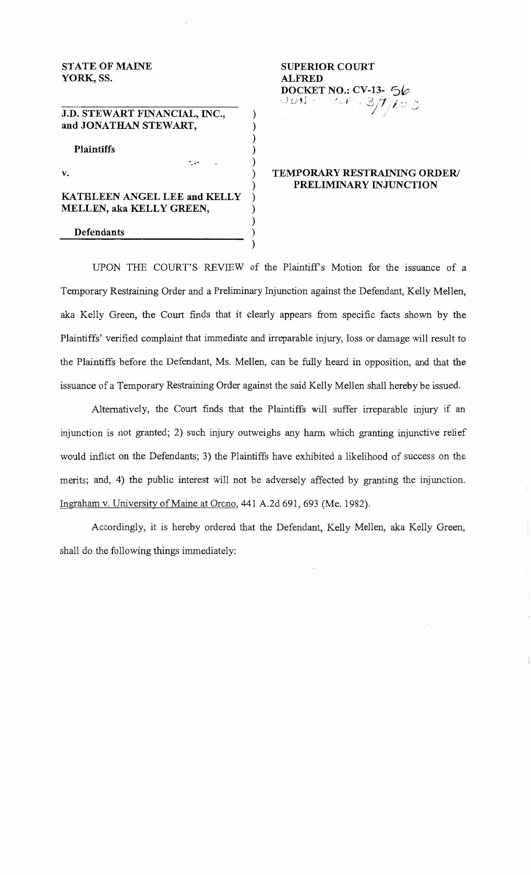# STATE OF MAINE YORK, SS.

J.D. STEWART FINANCIAL, INC., and JONATHAN STEWART,

Plaintiffs

v.

# KATHLEEN ANGEL LEE and KELLY MELLEN, aka KELLY GREEN,

.\_ .....

#### Defendants

## SUPERIOR COURT ALFRED DOCKET NO.: CV-13- *'Sb*   $\bigcup\mathcal{O}$   $\mathcal{N}_1$  .  $\bigcap\mathcal{N}\mathcal{O}$   $\mathcal{V}_1$ *j /,* --'

# TEMPORARY RESTRAINING ORDER/ PRELIMINARY INJUNCTION

UPON THE COURT'S REVIEW of the Plaintiff's Motion for the issuance of a Temporary Restraining Order and a Preliminary Injunction against the Defendant, Kelly Mellen, aka Kelly Green, the Court finds that it clearly appears from specific facts shown by the Plaintiffs' verified complaint that immediate and irreparable injury, loss or damage will result to the Plaintiffs before the Defendant, Ms. Mellen, can be fully heard in opposition, and that the issuance of a Temporary Restraining Order against the said Kelly Mellen shall hereby be issued.

) ) ) ) ) ) )

) ) )

Alternatively, the Court finds that the Plaintiffs will suffer irreparable injury if an injunction is not granted; 2) such injury outweighs any harm which granting injunctive relief would inflict on the Defendants; 3) the Plaintiffs have exhibited a likelihood of success on the merits; and, 4) the public interest will not be adversely affected by granting the injunction. Ingraham v. University of Maine at Orono, 441 A.2d 691, 693 (Me. 1982).

Accordingly, it is hereby ordered that the Defendant, Kelly Mellen, aka Kelly Green, shall do the following things immediately: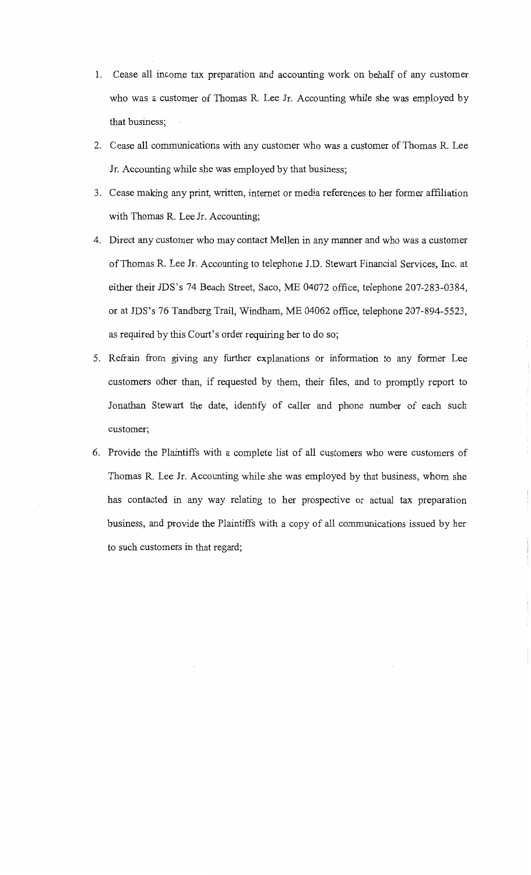- 1. Cease all income tax preparation and accounting work on behalf of any customer who was a customer of Thomas R. Lee Jr. Accounting while she was employed by that business;
- 2. Cease all communications with any customer who was a customer of Thomas R. Lee Jr. Accounting while she was employed by that business;
- 3. Cease making any print, written, internet or media references to her former affiliation with Thomas R. Lee Jr. Accounting;
- 4. Direct any customer who may contact Mellen in any manner and who was a customer of Thomas R. Lee Jr. Accounting to telephone J.D. Stewart Financial Services, Inc. at either their JDS's 74 Beach Street, Saco, ME 04072 office, telephone 207-283-0384, or at JDS's 76 Tandberg Trail, Windham, ME 04062 office, telephone 207-894-5523, as required by this Court's order requiring her to do so;
- 5. Refrain from giving any further explanations or information to any former Lee customers other than, if requested by them, their files, and to promptly report to Jonathan Stewart the date, identify of caller and phone number of each such customer;
- 6. Provide the Plaintiffs with a complete list of all customers who were customers of Thomas R. Lee Jr. Accounting while she was employed by that business, whom she has contacted in any way relating to her prospective or actual tax preparation business, and provide the Plaintiffs with a copy of all communications issued by her to such customers in that regard;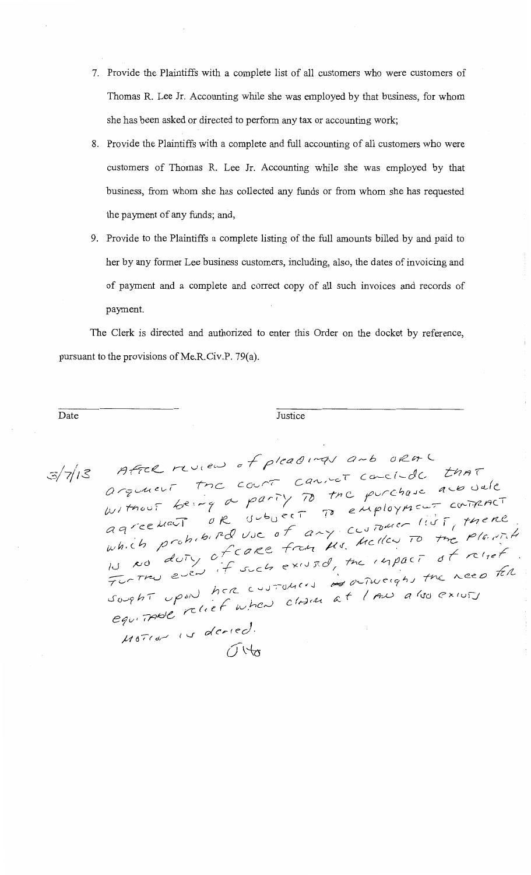- 7. Provide the Plaintiffs with a complete list of all customers who were customers of Thomas R. Lee Jr. Accounting while she was employed by that business, for whom she has been asked or directed to perform any tax or accounting work;
- 8. Provide the Plaintiffs with a complete and full accounting of all customers who were customers of Thomas R. Lee Jr. Accounting while she was employed by that business, from whom she has collected any funds or from whom she has requested the payment of any funds; and,
- 9. Provide to the Plaintiffs a complete listing of the full amounts billed by and paid to her by any former Lee business customers, including, also, the dates of invoicing and of payment and a complete and correct copy of all such invoices and records of payment.

The Clerk is directed and authorized to enter this Order on the docket by reference, pursuant to the provisions of Me.R.Civ.P.  $79(a)$ .

Date Justice **Date** 

 $3/7/13$ 

After review of pleadings and ora . After review of preach to canceled that arquient the court cannot courteve are vale  $u$ , thousand the purchase are only the purchase are somether WITHOUT OR UNDECT TO employment comence<br>agreement or und use of any customer list, there agreement or wood any customer live, there. which prome of care from Ms. Mency is included<br>is no duty of such existed, the impact of relief IN NO duty of such existed, the impact of revert<br>Funtry even if such existed, the impact of revert.<br>Sought upon here customers at I AN also exists  $\mu$ <sup>07</sup>(d) is deried.  $\int \psi$